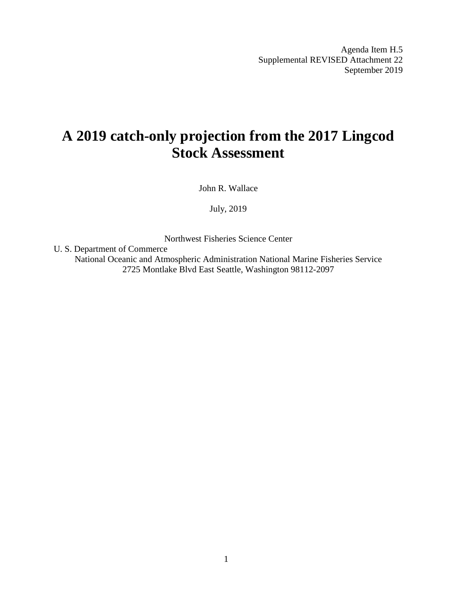Agenda Item H.5 Supplemental REVISED Attachment 22 September 2019

# **A 2019 catch-only projection from the 2017 Lingcod Stock Assessment**

John R. Wallace

July, 2019

Northwest Fisheries Science Center

U. S. Department of Commerce National Oceanic and Atmospheric Administration National Marine Fisheries Service 2725 Montlake Blvd East Seattle, Washington 98112-2097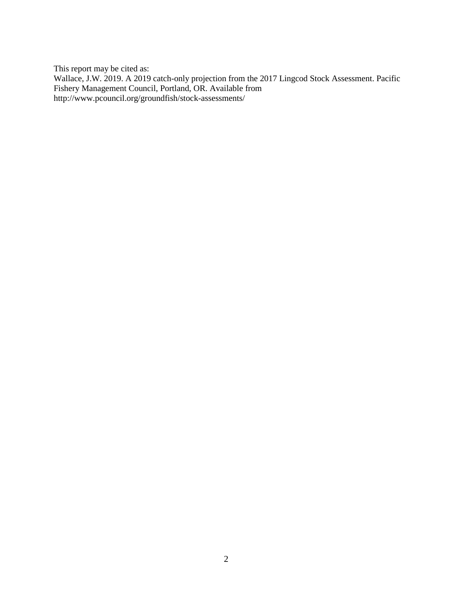This report may be cited as: Wallace, J.W. 2019. A 2019 catch-only projection from the 2017 Lingcod Stock Assessment. Pacific Fishery Management Council, Portland, OR. Available from <http://www.pcouncil.org/groundfish/stock-assessments/>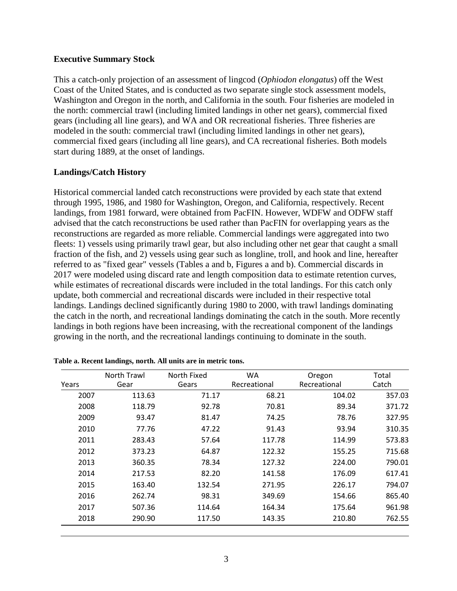#### **Executive Summary Stock**

This a catch-only projection of an assessment of lingcod (*Ophiodon elongatus*) off the West Coast of the United States, and is conducted as two separate single stock assessment models, Washington and Oregon in the north, and California in the south. Four fisheries are modeled in the north: commercial trawl (including limited landings in other net gears), commercial fixed gears (including all line gears), and WA and OR recreational fisheries. Three fisheries are modeled in the south: commercial trawl (including limited landings in other net gears), commercial fixed gears (including all line gears), and CA recreational fisheries. Both models start during 1889, at the onset of landings.

# **Landings/Catch History**

Historical commercial landed catch reconstructions were provided by each state that extend through 1995, 1986, and 1980 for Washington, Oregon, and California, respectively. Recent landings, from 1981 forward, were obtained from PacFIN. However, WDFW and ODFW staff advised that the catch reconstructions be used rather than PacFIN for overlapping years as the reconstructions are regarded as more reliable. Commercial landings were aggregated into two fleets: 1) vessels using primarily trawl gear, but also including other net gear that caught a small fraction of the fish, and 2) vessels using gear such as longline, troll, and hook and line, hereafter referred to as "fixed gear" vessels (Tables a and b, Figures a and b). Commercial discards in 2017 were modeled using discard rate and length composition data to estimate retention curves, while estimates of recreational discards were included in the total landings. For this catch only update, both commercial and recreational discards were included in their respective total landings. Landings declined significantly during 1980 to 2000, with trawl landings dominating the catch in the north, and recreational landings dominating the catch in the south. More recently landings in both regions have been increasing, with the recreational component of the landings growing in the north, and the recreational landings continuing to dominate in the south.

| Recreational<br>Recreational<br>Years<br>Gear<br>Gears<br>113.63<br>68.21<br>2007<br>71.17<br>70.81<br>2008<br>118.79<br>92.78<br>2009<br>93.47<br>81.47<br>74.25<br>77.76<br>47.22<br>91.43<br>2010<br>2011<br>283.43<br>57.64<br>117.78<br>2012<br>373.23<br>64.87<br>122.32<br>2013<br>360.35<br>78.34<br>127.32<br>2014<br>217.53<br>82.20<br>141.58<br>2015<br>163.40<br>132.54<br>271.95 |      | North Trawl | North Fixed | <b>WA</b> | Oregon | Total  |
|------------------------------------------------------------------------------------------------------------------------------------------------------------------------------------------------------------------------------------------------------------------------------------------------------------------------------------------------------------------------------------------------|------|-------------|-------------|-----------|--------|--------|
|                                                                                                                                                                                                                                                                                                                                                                                                |      |             |             |           |        | Catch  |
|                                                                                                                                                                                                                                                                                                                                                                                                |      |             |             |           | 104.02 | 357.03 |
|                                                                                                                                                                                                                                                                                                                                                                                                |      |             |             |           | 89.34  | 371.72 |
|                                                                                                                                                                                                                                                                                                                                                                                                |      |             |             |           | 78.76  | 327.95 |
|                                                                                                                                                                                                                                                                                                                                                                                                |      |             |             |           | 93.94  | 310.35 |
|                                                                                                                                                                                                                                                                                                                                                                                                |      |             |             |           | 114.99 | 573.83 |
|                                                                                                                                                                                                                                                                                                                                                                                                |      |             |             |           | 155.25 | 715.68 |
|                                                                                                                                                                                                                                                                                                                                                                                                |      |             |             |           | 224.00 | 790.01 |
|                                                                                                                                                                                                                                                                                                                                                                                                |      |             |             |           | 176.09 | 617.41 |
|                                                                                                                                                                                                                                                                                                                                                                                                |      |             |             |           | 226.17 | 794.07 |
|                                                                                                                                                                                                                                                                                                                                                                                                | 2016 | 262.74      | 98.31       | 349.69    | 154.66 | 865.40 |
| 114.64<br>2017<br>507.36<br>164.34                                                                                                                                                                                                                                                                                                                                                             |      |             |             |           | 175.64 | 961.98 |
| 2018<br>290.90<br>117.50<br>143.35                                                                                                                                                                                                                                                                                                                                                             |      |             |             |           | 210.80 | 762.55 |

**Table a. Recent landings, north. All units are in metric tons.**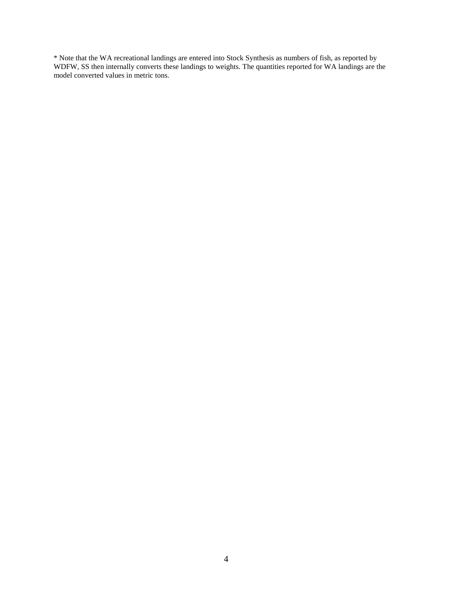\* Note that the WA recreational landings are entered into Stock Synthesis as numbers of fish, as reported by WDFW, SS then internally converts these landings to weights. The quantities reported for WA landings are the model converted values in metric tons.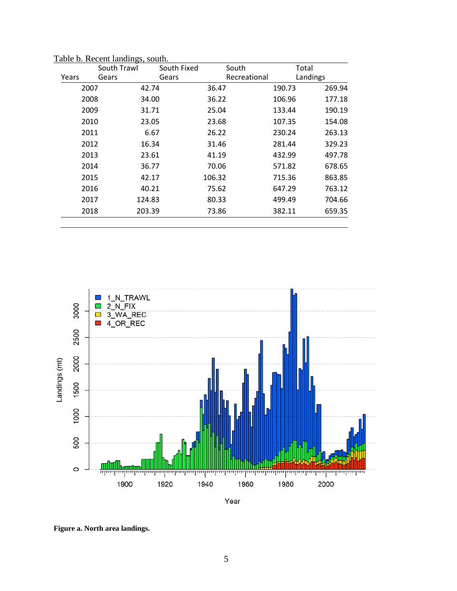|       | South Trawl    | South Fixed | South        | Total    |        |
|-------|----------------|-------------|--------------|----------|--------|
| Years | Gears          | Gears       | Recreational | Landings |        |
| 2007  |                | 42.74       | 36.47        | 190.73   | 269.94 |
| 2008  |                | 34.00       | 36.22        | 106.96   | 177.18 |
| 2009  |                | 31.71       | 25.04        | 133.44   | 190.19 |
| 2010  |                | 23.05       | 23.68        | 107.35   | 154.08 |
| 2011  |                | 6.67        | 26.22        | 230.24   | 263.13 |
|       | 2012<br>16.34  |             | 31.46        |          | 329.23 |
| 2013  |                | 23.61       | 41.19        |          | 497.78 |
| 2014  |                | 36.77       | 70.06        |          | 678.65 |
|       | 2015<br>42.17  |             | 106.32       | 715.36   | 863.85 |
|       | 2016<br>40.21  |             | 75.62        | 647.29   | 763.12 |
| 2017  |                | 124.83      | 80.33        | 499.49   | 704.66 |
|       | 2018<br>203.39 |             | 73.86        | 382.11   | 659.35 |
|       |                |             |              |          |        |

Table b. Recent landings, south.



Year

**Figure a. North area landings.**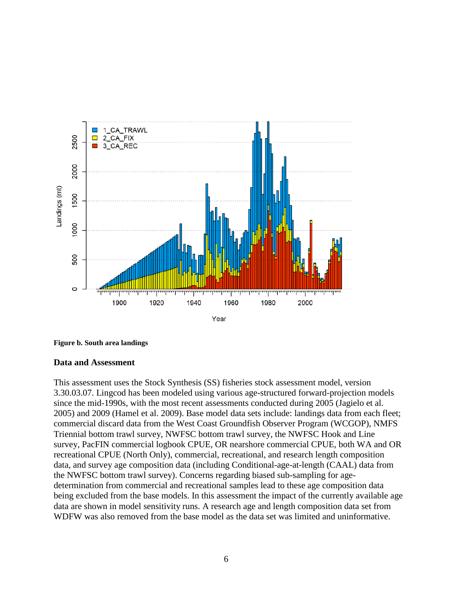

**Figure b. South area landings**

#### **Data and Assessment**

This assessment uses the Stock Synthesis (SS) fisheries stock assessment model, version 3.30.03.07. Lingcod has been modeled using various age-structured forward-projection models since the mid-1990s, with the most recent assessments conducted during 2005 (Jagielo et al. 2005) and 2009 (Hamel et al. 2009). Base model data sets include: landings data from each fleet; commercial discard data from the West Coast Groundfish Observer Program (WCGOP), NMFS Triennial bottom trawl survey, NWFSC bottom trawl survey, the NWFSC Hook and Line survey, PacFIN commercial logbook CPUE, OR nearshore commercial CPUE, both WA and OR recreational CPUE (North Only), commercial, recreational, and research length composition data, and survey age composition data (including Conditional-age-at-length (CAAL) data from the NWFSC bottom trawl survey). Concerns regarding biased sub-sampling for agedetermination from commercial and recreational samples lead to these age composition data being excluded from the base models. In this assessment the impact of the currently available age data are shown in model sensitivity runs. A research age and length composition data set from WDFW was also removed from the base model as the data set was limited and uninformative.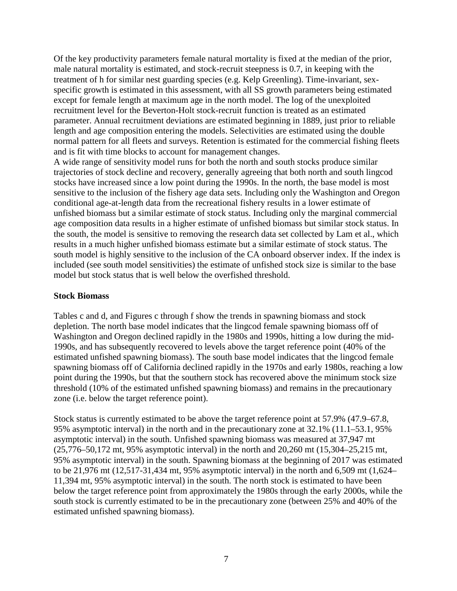Of the key productivity parameters female natural mortality is fixed at the median of the prior, male natural mortality is estimated, and stock-recruit steepness is 0.7, in keeping with the treatment of h for similar nest guarding species (e.g. Kelp Greenling). Time-invariant, sexspecific growth is estimated in this assessment, with all SS growth parameters being estimated except for female length at maximum age in the north model. The log of the unexploited recruitment level for the Beverton-Holt stock-recruit function is treated as an estimated parameter. Annual recruitment deviations are estimated beginning in 1889, just prior to reliable length and age composition entering the models. Selectivities are estimated using the double normal pattern for all fleets and surveys. Retention is estimated for the commercial fishing fleets and is fit with time blocks to account for management changes.

A wide range of sensitivity model runs for both the north and south stocks produce similar trajectories of stock decline and recovery, generally agreeing that both north and south lingcod stocks have increased since a low point during the 1990s. In the north, the base model is most sensitive to the inclusion of the fishery age data sets. Including only the Washington and Oregon conditional age-at-length data from the recreational fishery results in a lower estimate of unfished biomass but a similar estimate of stock status. Including only the marginal commercial age composition data results in a higher estimate of unfished biomass but similar stock status. In the south, the model is sensitive to removing the research data set collected by Lam et al., which results in a much higher unfished biomass estimate but a similar estimate of stock status. The south model is highly sensitive to the inclusion of the CA onboard observer index. If the index is included (see south model sensitivities) the estimate of unfished stock size is similar to the base model but stock status that is well below the overfished threshold.

#### **Stock Biomass**

Tables c and d, and Figures c through f show the trends in spawning biomass and stock depletion. The north base model indicates that the lingcod female spawning biomass off of Washington and Oregon declined rapidly in the 1980s and 1990s, hitting a low during the mid-1990s, and has subsequently recovered to levels above the target reference point (40% of the estimated unfished spawning biomass). The south base model indicates that the lingcod female spawning biomass off of California declined rapidly in the 1970s and early 1980s, reaching a low point during the 1990s, but that the southern stock has recovered above the minimum stock size threshold (10% of the estimated unfished spawning biomass) and remains in the precautionary zone (i.e. below the target reference point).

Stock status is currently estimated to be above the target reference point at 57.9% (47.9–67.8, 95% asymptotic interval) in the north and in the precautionary zone at 32.1% (11.1–53.1, 95% asymptotic interval) in the south. Unfished spawning biomass was measured at 37,947 mt (25,776–50,172 mt, 95% asymptotic interval) in the north and 20,260 mt (15,304–25,215 mt, 95% asymptotic interval) in the south. Spawning biomass at the beginning of 2017 was estimated to be 21,976 mt (12,517-31,434 mt, 95% asymptotic interval) in the north and 6,509 mt (1,624– 11,394 mt, 95% asymptotic interval) in the south. The north stock is estimated to have been below the target reference point from approximately the 1980s through the early 2000s, while the south stock is currently estimated to be in the precautionary zone (between 25% and 40% of the estimated unfished spawning biomass).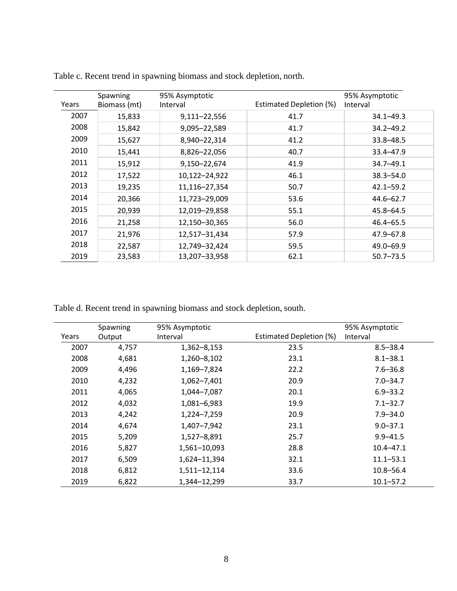| Years | Spawning<br>Biomass (mt) | 95% Asymptotic<br>Interval | Estimated Depletion (%) | 95% Asymptotic<br>Interval |
|-------|--------------------------|----------------------------|-------------------------|----------------------------|
| 2007  | 15,833                   | 9,111-22,556               | 41.7                    | $34.1 - 49.3$              |
| 2008  | 15,842                   | 9,095-22,589               | 41.7                    | $34.2 - 49.2$              |
| 2009  | 15,627                   | 8,940-22,314               | 41.2                    | $33.8 - 48.5$              |
| 2010  | 15,441                   | 8,826-22,056               | 40.7                    | 33.4-47.9                  |
| 2011  | 15,912                   | 9,150-22,674               | 41.9                    | 34.7-49.1                  |
| 2012  | 17,522                   | 10,122-24,922              | 46.1                    | $38.3 - 54.0$              |
| 2013  | 19,235                   | 11,116-27,354              | 50.7                    | $42.1 - 59.2$              |
| 2014  | 20,366                   | 11,723-29,009              | 53.6                    | $44.6 - 62.7$              |
| 2015  | 20,939                   | 12,019-29,858              | 55.1                    | $45.8 - 64.5$              |
| 2016  | 21,258                   | 12,150-30,365              | 56.0                    | $46.4 - 65.5$              |
| 2017  | 21,976                   | 12,517-31,434              | 57.9                    | $47.9 - 67.8$              |
| 2018  | 22,587                   | 12,749-32,424              | 59.5                    | 49.0-69.9                  |
| 2019  | 23,583                   | 13,207-33,958              | 62.1                    | $50.7 - 73.5$              |

Table c. Recent trend in spawning biomass and stock depletion, north.

Table d. Recent trend in spawning biomass and stock depletion, south.

| Years | Spawning<br>Output | 95% Asymptotic<br>Interval | Estimated Depletion (%) | 95% Asymptotic<br>Interval |
|-------|--------------------|----------------------------|-------------------------|----------------------------|
| 2007  | 4,757              | 1,362-8,153                | 23.5                    | $8.5 - 38.4$               |
|       |                    |                            |                         |                            |
| 2008  | 4,681              | 1,260-8,102                | 23.1                    | $8.1 - 38.1$               |
| 2009  | 4,496              | 1,169-7,824                | 22.2                    | $7.6 - 36.8$               |
| 2010  | 4,232              | 1,062-7,401                | 20.9                    | $7.0 - 34.7$               |
| 2011  | 4,065              | 1,044-7,087                | 20.1                    | $6.9 - 33.2$               |
| 2012  | 4,032              | 1,081-6,983                | 19.9                    | $7.1 - 32.7$               |
| 2013  | 4,242              | 1,224-7,259                | 20.9                    | $7.9 - 34.0$               |
| 2014  | 4,674              | 1,407-7,942                | 23.1                    | $9.0 - 37.1$               |
| 2015  | 5,209              | 1,527-8,891                | 25.7                    | $9.9 - 41.5$               |
| 2016  | 5,827              | 1,561-10,093               | 28.8                    | $10.4 - 47.1$              |
| 2017  | 6,509              | 1,624-11,394               | 32.1                    | $11.1 - 53.1$              |
| 2018  | 6,812              | 1,511-12,114               | 33.6                    | $10.8 - 56.4$              |
| 2019  | 6,822              | 1,344-12,299               | 33.7                    | $10.1 - 57.2$              |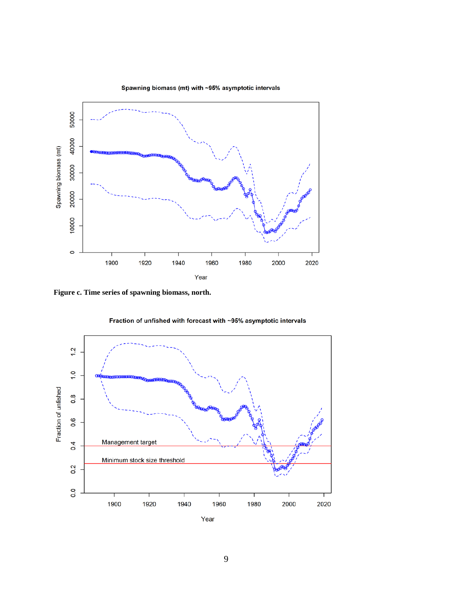

Spawning biomass (mt) with ~95% asymptotic intervals

**Figure c. Time series of spawning biomass, north.**



Fraction of unfished with forecast with ~95% asymptotic intervals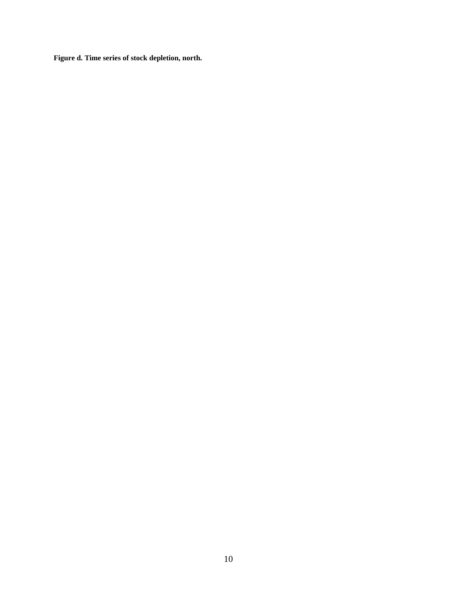**Figure d. Time series of stock depletion, north.**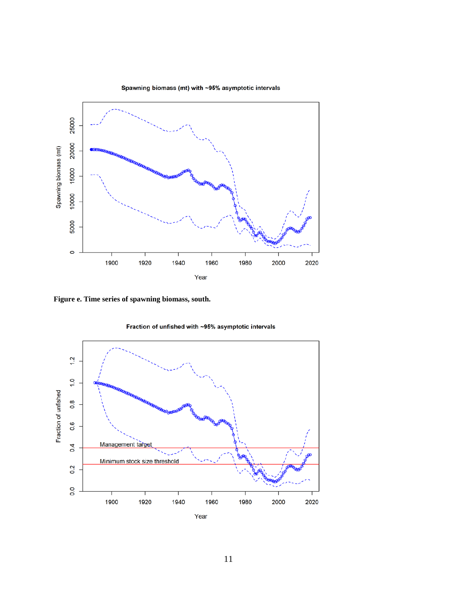

Spawning biomass (mt) with ~95% asymptotic intervals

**Figure e. Time series of spawning biomass, south.**



Fraction of unfished with ~95% asymptotic intervals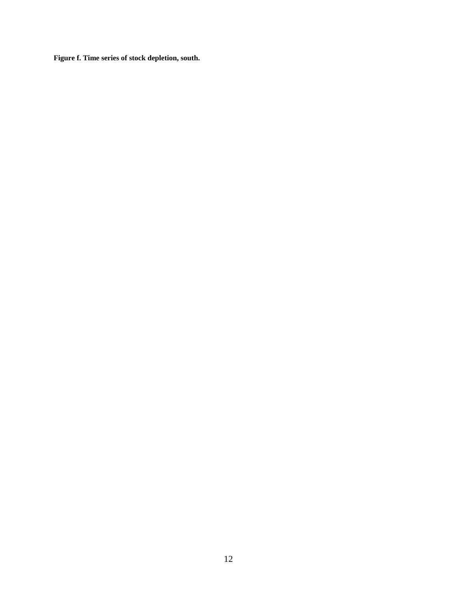**Figure f. Time series of stock depletion, south.**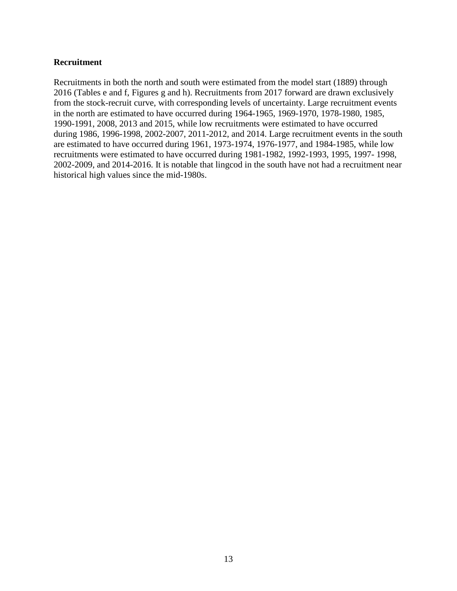#### **Recruitment**

Recruitments in both the north and south were estimated from the model start (1889) through 2016 (Tables e and f, Figures g and h). Recruitments from 2017 forward are drawn exclusively from the stock-recruit curve, with corresponding levels of uncertainty. Large recruitment events in the north are estimated to have occurred during 1964-1965, 1969-1970, 1978-1980, 1985, 1990-1991, 2008, 2013 and 2015, while low recruitments were estimated to have occurred during 1986, 1996-1998, 2002-2007, 2011-2012, and 2014. Large recruitment events in the south are estimated to have occurred during 1961, 1973-1974, 1976-1977, and 1984-1985, while low recruitments were estimated to have occurred during 1981-1982, 1992-1993, 1995, 1997- 1998, 2002-2009, and 2014-2016. It is notable that lingcod in the south have not had a recruitment near historical high values since the mid-1980s.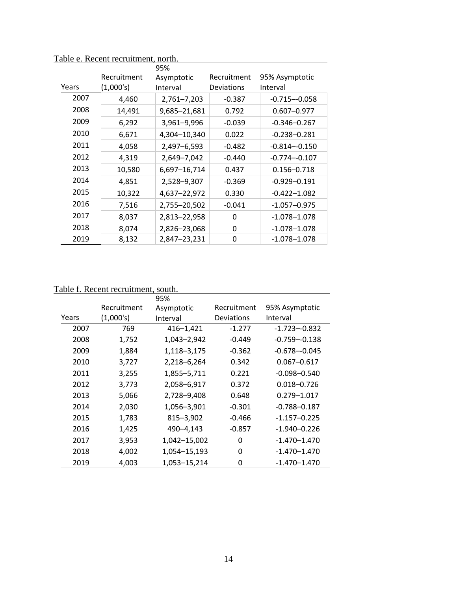|       |             | 95%          |             |                  |
|-------|-------------|--------------|-------------|------------------|
|       | Recruitment | Asymptotic   | Recruitment | 95% Asymptotic   |
| Years | (1,000's)   | Interval     | Deviations  | Interval         |
| 2007  | 4,460       | 2,761-7,203  | $-0.387$    | $-0.715 - 0.058$ |
| 2008  | 14,491      | 9,685-21,681 | 0.792       | $0.607 - 0.977$  |
| 2009  | 6,292       | 3,961-9,996  | $-0.039$    | $-0.346 - 0.267$ |
| 2010  | 6,671       | 4,304-10,340 | 0.022       | $-0.238 - 0.281$ |
| 2011  | 4,058       | 2,497-6,593  | $-0.482$    | $-0.814 - 0.150$ |
| 2012  | 4,319       | 2,649-7,042  | $-0.440$    | $-0.774 - 0.107$ |
| 2013  | 10,580      | 6,697-16,714 | 0.437       | $0.156 - 0.718$  |
| 2014  | 4,851       | 2,528-9,307  | $-0.369$    | $-0.929 - 0.191$ |
| 2015  | 10,322      | 4,637-22,972 | 0.330       | $-0.422 - 1.082$ |
| 2016  | 7,516       | 2,755-20,502 | $-0.041$    | $-1.057 - 0.975$ |
| 2017  | 8,037       | 2,813-22,958 | 0           | $-1.078 - 1.078$ |
| 2018  | 8,074       | 2,826-23,068 | $\Omega$    | $-1.078 - 1.078$ |
| 2019  | 8,132       | 2,847-23,231 | 0           | $-1.078 - 1.078$ |

Table e. Recent recruitment, north.

# Table f. Recent recruitment, south.

|       |             | 95%           |             |                  |
|-------|-------------|---------------|-------------|------------------|
|       | Recruitment | Asymptotic    | Recruitment | 95% Asymptotic   |
| Years | (1,000's)   | Interval      | Deviations  | Interval         |
| 2007  | 769         | 416-1,421     | $-1.277$    | $-1.723 - 0.832$ |
| 2008  | 1,752       | 1,043-2,942   | $-0.449$    | $-0.759 - 0.138$ |
| 2009  | 1,884       | 1,118-3,175   | $-0.362$    | $-0.678 - 0.045$ |
| 2010  | 3,727       | 2,218-6,264   | 0.342       | $0.067 - 0.617$  |
| 2011  | 3,255       | 1,855-5,711   | 0.221       | $-0.098 - 0.540$ |
| 2012  | 3,773       | 2,058-6,917   | 0.372       | $0.018 - 0.726$  |
| 2013  | 5,066       | 2,728-9,408   | 0.648       | 0.279-1.017      |
| 2014  | 2,030       | 1,056-3,901   | $-0.301$    | $-0.788 - 0.187$ |
| 2015  | 1,783       | $815 - 3,902$ | $-0.466$    | $-1.157 - 0.225$ |
| 2016  | 1,425       | 490-4,143     | $-0.857$    | $-1.940 - 0.226$ |
| 2017  | 3,953       | 1,042-15,002  | 0           | $-1.470 - 1.470$ |
| 2018  | 4,002       | 1,054-15,193  | 0           | $-1.470 - 1.470$ |
| 2019  | 4,003       | 1,053-15,214  | 0           | $-1.470 - 1.470$ |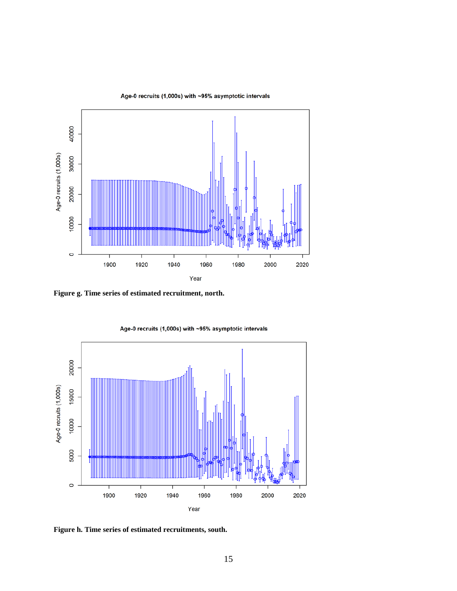

**Figure g. Time series of estimated recruitment, north.**



Age-0 recruits (1,000s) with ~95% asymptotic intervals

**Figure h. Time series of estimated recruitments, south.**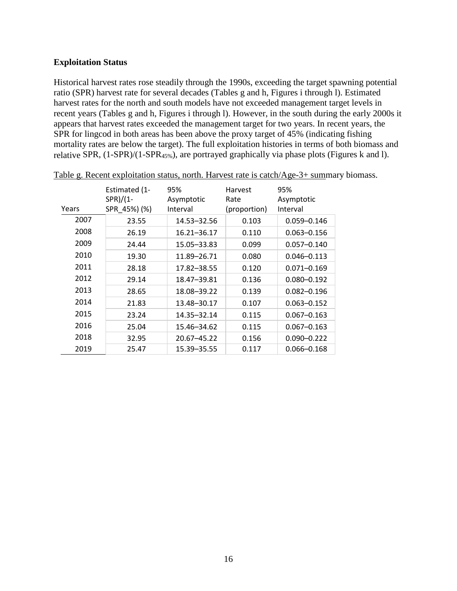#### **Exploitation Status**

Historical harvest rates rose steadily through the 1990s, exceeding the target spawning potential ratio (SPR) harvest rate for several decades (Tables g and h, Figures i through l). Estimated harvest rates for the north and south models have not exceeded management target levels in recent years (Tables g and h, Figures i through l). However, in the south during the early 2000s it appears that harvest rates exceeded the management target for two years. In recent years, the SPR for lingcod in both areas has been above the proxy target of 45% (indicating fishing mortality rates are below the target). The full exploitation histories in terms of both biomass and relative SPR, (1-SPR)/(1-SPR45%), are portrayed graphically via phase plots (Figures k and l).

| Years | Estimated (1-<br>$SPR)/(1-$<br>SPR 45%) (%) | 95%<br>Asymptotic<br>Interval | Harvest<br>Rate<br>(proportion) | 95%<br>Asymptotic<br>Interval |
|-------|---------------------------------------------|-------------------------------|---------------------------------|-------------------------------|
| 2007  | 23.55                                       | 14.53-32.56                   | 0.103                           | $0.059 - 0.146$               |
| 2008  | 26.19                                       | 16.21-36.17                   | 0.110                           | $0.063 - 0.156$               |
| 2009  | 24.44                                       | 15.05-33.83                   | 0.099                           | $0.057 - 0.140$               |
| 2010  | 19.30                                       | 11.89-26.71                   | 0.080                           | $0.046 - 0.113$               |
| 2011  | 28.18                                       | 17.82-38.55                   | 0.120                           | $0.071 - 0.169$               |
| 2012  | 29.14                                       | 18.47-39.81                   | 0.136                           | $0.080 - 0.192$               |
| 2013  | 28.65                                       | 18.08-39.22                   | 0.139                           | $0.082 - 0.196$               |
| 2014  | 21.83                                       | 13.48-30.17                   | 0.107                           | $0.063 - 0.152$               |
| 2015  | 23.24                                       | 14.35-32.14                   | 0.115                           | $0.067 - 0.163$               |
| 2016  | 25.04                                       | 15.46-34.62                   | 0.115                           | $0.067 - 0.163$               |
| 2018  | 32.95                                       | 20.67-45.22                   | 0.156                           | $0.090 - 0.222$               |
| 2019  | 25.47                                       | 15.39 - 35.55                 | 0.117                           | $0.066 - 0.168$               |

Table g. Recent exploitation status, north. Harvest rate is catch/Age-3+ summary biomass.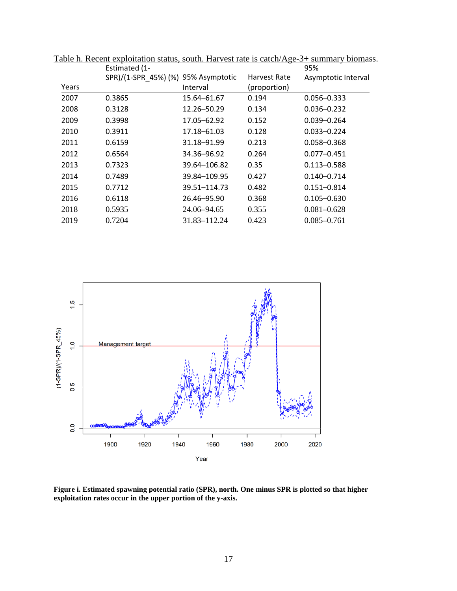|       | Estimated (1-                       |              |              | 95%                 |
|-------|-------------------------------------|--------------|--------------|---------------------|
|       | SPR)/(1-SPR 45%) (%) 95% Asymptotic |              | Harvest Rate | Asymptotic Interval |
| Years |                                     | Interval     | (proportion) |                     |
| 2007  | 0.3865                              | 15.64-61.67  | 0.194        | $0.056 - 0.333$     |
| 2008  | 0.3128                              | 12.26-50.29  | 0.134        | $0.036 - 0.232$     |
| 2009  | 0.3998                              | 17.05-62.92  | 0.152        | $0.039 - 0.264$     |
| 2010  | 0.3911                              | 17.18–61.03  | 0.128        | $0.033 - 0.224$     |
| 2011  | 0.6159                              | 31.18-91.99  | 0.213        | $0.058 - 0.368$     |
| 2012  | 0.6564                              | 34.36-96.92  | 0.264        | $0.077 - 0.451$     |
| 2013  | 0.7323                              | 39.64-106.82 | 0.35         | $0.113 - 0.588$     |
| 2014  | 0.7489                              | 39.84-109.95 | 0.427        | $0.140 - 0.714$     |
| 2015  | 0.7712                              | 39.51-114.73 | 0.482        | $0.151 - 0.814$     |
| 2016  | 0.6118                              | 26.46-95.90  | 0.368        | $0.105 - 0.630$     |
| 2018  | 0.5935                              | 24.06–94.65  | 0.355        | $0.081 - 0.628$     |
| 2019  | 0.7204                              | 31.83-112.24 | 0.423        | $0.085 - 0.761$     |

Table h. Recent exploitation status, south. Harvest rate is catch/Age-3+ summary biomass.



**Figure i. Estimated spawning potential ratio (SPR), north. One minus SPR is plotted so that higher exploitation rates occur in the upper portion of the y-axis.**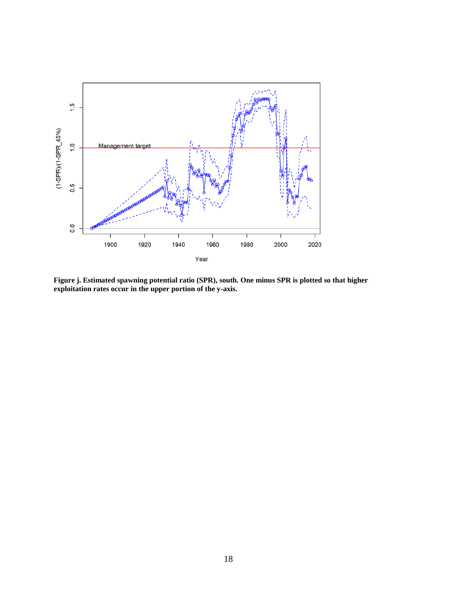

**Figure j. Estimated spawning potential ratio (SPR), south. One minus SPR is plotted so that higher exploitation rates occur in the upper portion of the y-axis.**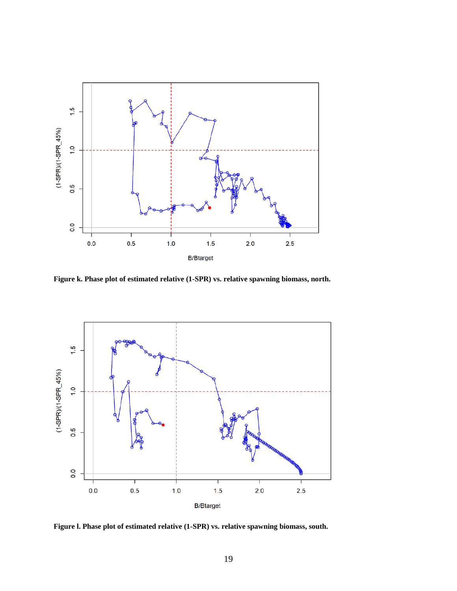

**Figure k. Phase plot of estimated relative (1-SPR) vs. relative spawning biomass, north.**



**Figure l. Phase plot of estimated relative (1-SPR) vs. relative spawning biomass, south.**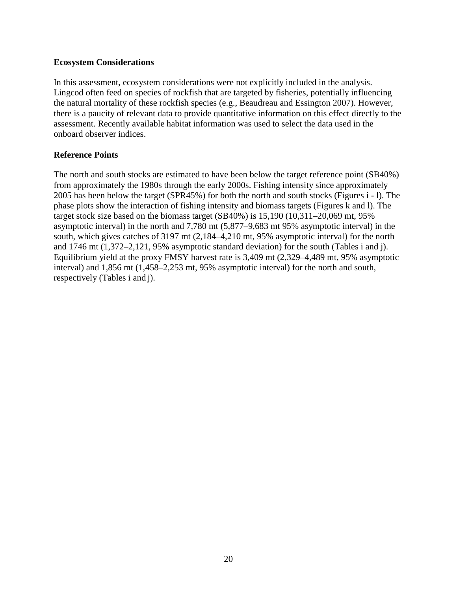#### **Ecosystem Considerations**

In this assessment, ecosystem considerations were not explicitly included in the analysis. Lingcod often feed on species of rockfish that are targeted by fisheries, potentially influencing the natural mortality of these rockfish species (e.g., Beaudreau and Essington 2007). However, there is a paucity of relevant data to provide quantitative information on this effect directly to the assessment. Recently available habitat information was used to select the data used in the onboard observer indices.

#### **Reference Points**

The north and south stocks are estimated to have been below the target reference point (SB40%) from approximately the 1980s through the early 2000s. Fishing intensity since approximately 2005 has been below the target (SPR45%) for both the north and south stocks (Figures i - l). The phase plots show the interaction of fishing intensity and biomass targets (Figures k and l). The target stock size based on the biomass target (SB40%) is 15,190 (10,311–20,069 mt, 95% asymptotic interval) in the north and 7,780 mt (5,877–9,683 mt 95% asymptotic interval) in the south, which gives catches of 3197 mt (2,184–4,210 mt, 95% asymptotic interval) for the north and 1746 mt (1,372–2,121, 95% asymptotic standard deviation) for the south (Tables i and j). Equilibrium yield at the proxy FMSY harvest rate is 3,409 mt (2,329–4,489 mt, 95% asymptotic interval) and 1,856 mt (1,458–2,253 mt, 95% asymptotic interval) for the north and south, respectively (Tables i and j).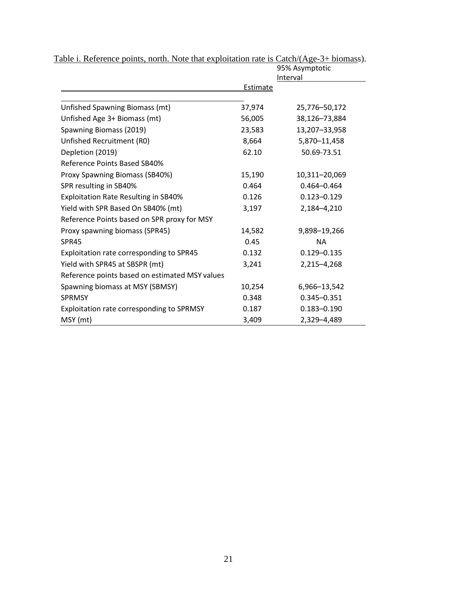|                                                |                 | 95% Asymptotic  |
|------------------------------------------------|-----------------|-----------------|
|                                                | <b>Estimate</b> | Interval        |
|                                                |                 |                 |
| Unfished Spawning Biomass (mt)                 | 37,974          | 25,776-50,172   |
| Unfished Age 3+ Biomass (mt)                   | 56,005          | 38,126-73,884   |
| Spawning Biomass (2019)                        | 23,583          | 13,207-33,958   |
| Unfished Recruitment (R0)                      | 8,664           | 5,870-11,458    |
| Depletion (2019)                               | 62.10           | 50.69-73.51     |
| Reference Points Based SB40%                   |                 |                 |
| Proxy Spawning Biomass (SB40%)                 | 15,190          | 10,311-20,069   |
| SPR resulting in SB40%                         | 0.464           | $0.464 - 0.464$ |
| <b>Exploitation Rate Resulting in SB40%</b>    | 0.126           | $0.123 - 0.129$ |
| Yield with SPR Based On SB40% (mt)             | 3,197           | 2,184-4,210     |
| Reference Points based on SPR proxy for MSY    |                 |                 |
| Proxy spawning biomass (SPR45)                 | 14,582          | 9,898-19,266    |
| SPR45                                          | 0.45            | <b>NA</b>       |
| Exploitation rate corresponding to SPR45       | 0.132           | $0.129 - 0.135$ |
| Yield with SPR45 at SBSPR (mt)                 | 3,241           | 2,215-4,268     |
| Reference points based on estimated MSY values |                 |                 |
| Spawning biomass at MSY (SBMSY)                | 10,254          | 6,966-13,542    |
| SPRMSY                                         | 0.348           | $0.345 - 0.351$ |
| Exploitation rate corresponding to SPRMSY      | 0.187           | $0.183 - 0.190$ |
| MSY (mt)                                       | 3,409           | 2,329-4,489     |

Table i. Reference points, north. Note that exploitation rate is Catch/(Age-3+ biomass).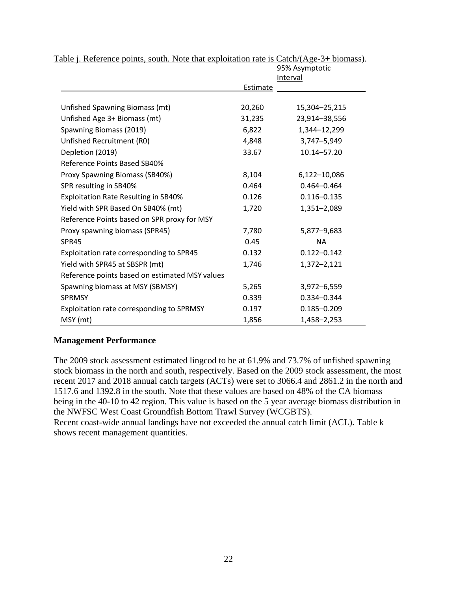|                                                |          | 95% Asymptotic  |
|------------------------------------------------|----------|-----------------|
|                                                | Estimate | Interval        |
|                                                |          |                 |
| Unfished Spawning Biomass (mt)                 | 20,260   | 15,304-25,215   |
| Unfished Age 3+ Biomass (mt)                   | 31,235   | 23,914-38,556   |
| Spawning Biomass (2019)                        | 6,822    | 1,344-12,299    |
| Unfished Recruitment (R0)                      | 4,848    | 3,747-5,949     |
| Depletion (2019)                               | 33.67    | 10.14-57.20     |
| Reference Points Based SB40%                   |          |                 |
| Proxy Spawning Biomass (SB40%)                 | 8,104    | 6,122-10,086    |
| SPR resulting in SB40%                         | 0.464    | $0.464 - 0.464$ |
| <b>Exploitation Rate Resulting in SB40%</b>    | 0.126    | $0.116 - 0.135$ |
| Yield with SPR Based On SB40% (mt)             | 1,720    | 1,351-2,089     |
| Reference Points based on SPR proxy for MSY    |          |                 |
| Proxy spawning biomass (SPR45)                 | 7,780    | 5,877-9,683     |
| SPR45                                          | 0.45     | <b>NA</b>       |
| Exploitation rate corresponding to SPR45       | 0.132    | $0.122 - 0.142$ |
| Yield with SPR45 at SBSPR (mt)                 | 1,746    | 1,372-2,121     |
| Reference points based on estimated MSY values |          |                 |
| Spawning biomass at MSY (SBMSY)                | 5,265    | 3,972-6,559     |
| <b>SPRMSY</b>                                  | 0.339    | 0.334-0.344     |
| Exploitation rate corresponding to SPRMSY      | 0.197    | $0.185 - 0.209$ |
| MSY (mt)                                       | 1,856    | 1,458-2,253     |

Table j. Reference points, south. Note that exploitation rate is Catch/(Age-3+ biomass).

# **Management Performance**

The 2009 stock assessment estimated lingcod to be at 61.9% and 73.7% of unfished spawning stock biomass in the north and south, respectively. Based on the 2009 stock assessment, the most recent 2017 and 2018 annual catch targets (ACTs) were set to 3066.4 and 2861.2 in the north and 1517.6 and 1392.8 in the south. Note that these values are based on 48% of the CA biomass being in the 40-10 to 42 region. This value is based on the 5 year average biomass distribution in the NWFSC West Coast Groundfish Bottom Trawl Survey (WCGBTS).

Recent coast-wide annual landings have not exceeded the annual catch limit (ACL). Table k shows recent management quantities.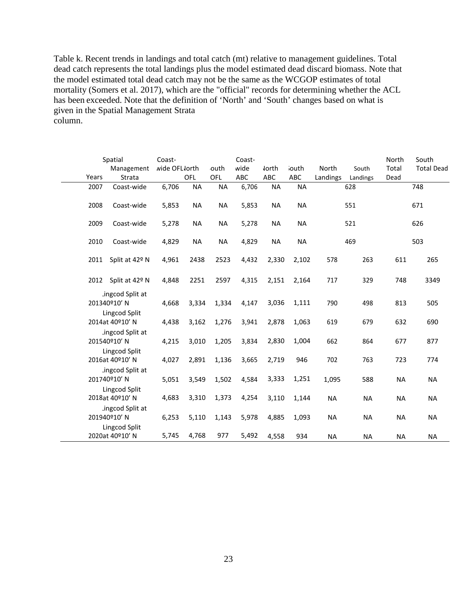Table k. Recent trends in landings and total catch (mt) relative to management guidelines. Total dead catch represents the total landings plus the model estimated dead discard biomass. Note that the model estimated total dead catch may not be the same as the WCGOP estimates of total mortality (Somers et al. 2017), which are the "official" records for determining whether the ACL has been exceeded. Note that the definition of 'North' and 'South' changes based on what is given in the Spatial Management Strata column.

| Years | Spatial<br>Management<br>Strata                  | Coast-<br>wide OFL lorth | OFL       | outh<br>OFL | Coast-<br>wide<br>ABC | <b>Jorth</b><br>ABC | iouth<br>ABC | North<br>Landings | South<br>Landings | North<br>Total<br>Dead | South<br><b>Total Dead</b> |
|-------|--------------------------------------------------|--------------------------|-----------|-------------|-----------------------|---------------------|--------------|-------------------|-------------------|------------------------|----------------------------|
| 2007  | Coast-wide                                       | 6,706                    | <b>NA</b> | <b>NA</b>   | 6,706                 | <b>NA</b>           | <b>NA</b>    |                   | 628               |                        | 748                        |
| 2008  | Coast-wide                                       | 5,853                    | <b>NA</b> | <b>NA</b>   | 5,853                 | <b>NA</b>           | <b>NA</b>    |                   | 551               |                        | 671                        |
| 2009  | Coast-wide                                       | 5,278                    | <b>NA</b> | <b>NA</b>   | 5,278                 | <b>NA</b>           | <b>NA</b>    |                   | 521               |                        | 626                        |
| 2010  | Coast-wide                                       | 4,829                    | <b>NA</b> | <b>NA</b>   | 4,829                 | <b>NA</b>           | <b>NA</b>    |                   | 469               |                        | 503                        |
| 2011  | Split at 42º N                                   | 4,961                    | 2438      | 2523        | 4,432                 | 2,330               | 2,102        | 578               | 263               | 611                    | 265                        |
|       | 2012 Split at 42º N                              | 4,848                    | 2251      | 2597        | 4,315                 | 2,151               | 2,164        | 717               | 329               | 748                    | 3349                       |
|       | ingcod Split at<br>201340°10' N<br>Lingcod Split | 4,668                    | 3,334     | 1,334       | 4,147                 | 3,036               | 1,111        | 790               | 498               | 813                    | 505                        |
|       | 2014at 40º10' N                                  | 4,438                    | 3,162     | 1,276       | 3,941                 | 2,878               | 1,063        | 619               | 679               | 632                    | 690                        |
|       | ingcod Split at<br>201540°10' N<br>Lingcod Split | 4,215                    | 3,010     | 1,205       | 3,834                 | 2,830               | 1,004        | 662               | 864               | 677                    | 877                        |
|       | 2016at 40°10' N                                  | 4,027                    | 2,891     | 1,136       | 3,665                 | 2,719               | 946          | 702               | 763               | 723                    | 774                        |
|       | ingcod Split at<br>201740°10' N                  | 5,051                    | 3,549     | 1,502       | 4,584                 | 3,333               | 1,251        | 1,095             | 588               | <b>NA</b>              | <b>NA</b>                  |
|       | Lingcod Split<br>2018at 40°10' N                 | 4,683                    | 3,310     | 1,373       | 4,254                 | 3,110               | 1,144        | <b>NA</b>         | <b>NA</b>         | <b>NA</b>              | <b>NA</b>                  |
|       | ingcod Split at<br>201940°10' N                  | 6,253                    | 5,110     | 1,143       | 5,978                 | 4,885               | 1,093        | <b>NA</b>         | <b>NA</b>         | <b>NA</b>              | <b>NA</b>                  |
|       | Lingcod Split<br>2020at 40°10' N                 | 5,745                    | 4,768     | 977         | 5,492                 | 4,558               | 934          | <b>NA</b>         | <b>NA</b>         | <b>NA</b>              | <b>NA</b>                  |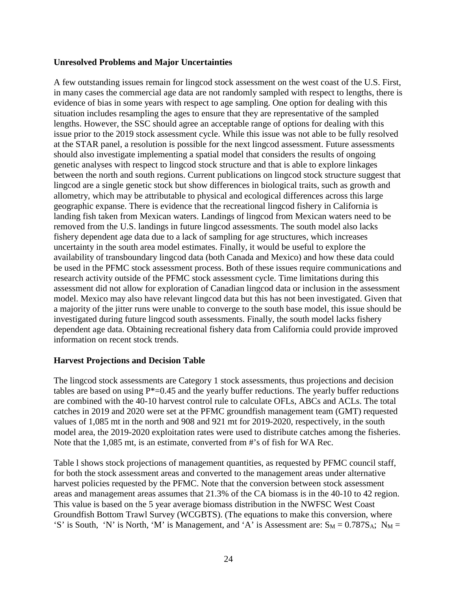#### **Unresolved Problems and Major Uncertainties**

A few outstanding issues remain for lingcod stock assessment on the west coast of the U.S. First, in many cases the commercial age data are not randomly sampled with respect to lengths, there is evidence of bias in some years with respect to age sampling. One option for dealing with this situation includes resampling the ages to ensure that they are representative of the sampled lengths. However, the SSC should agree an acceptable range of options for dealing with this issue prior to the 2019 stock assessment cycle. While this issue was not able to be fully resolved at the STAR panel, a resolution is possible for the next lingcod assessment. Future assessments should also investigate implementing a spatial model that considers the results of ongoing genetic analyses with respect to lingcod stock structure and that is able to explore linkages between the north and south regions. Current publications on lingcod stock structure suggest that lingcod are a single genetic stock but show differences in biological traits, such as growth and allometry, which may be attributable to physical and ecological differences across this large geographic expanse. There is evidence that the recreational lingcod fishery in California is landing fish taken from Mexican waters. Landings of lingcod from Mexican waters need to be removed from the U.S. landings in future lingcod assessments. The south model also lacks fishery dependent age data due to a lack of sampling for age structures, which increases uncertainty in the south area model estimates. Finally, it would be useful to explore the availability of transboundary lingcod data (both Canada and Mexico) and how these data could be used in the PFMC stock assessment process. Both of these issues require communications and research activity outside of the PFMC stock assessment cycle. Time limitations during this assessment did not allow for exploration of Canadian lingcod data or inclusion in the assessment model. Mexico may also have relevant lingcod data but this has not been investigated. Given that a majority of the jitter runs were unable to converge to the south base model, this issue should be investigated during future lingcod south assessments. Finally, the south model lacks fishery dependent age data. Obtaining recreational fishery data from California could provide improved information on recent stock trends.

#### **Harvest Projections and Decision Table**

The lingcod stock assessments are Category 1 stock assessments, thus projections and decision tables are based on using  $P^*=0.45$  and the yearly buffer reductions. The yearly buffer reductions are combined with the 40-10 harvest control rule to calculate OFLs, ABCs and ACLs. The total catches in 2019 and 2020 were set at the PFMC groundfish management team (GMT) requested values of 1,085 mt in the north and 908 and 921 mt for 2019-2020, respectively, in the south model area, the 2019-2020 exploitation rates were used to distribute catches among the fisheries. Note that the 1,085 mt, is an estimate, converted from #'s of fish for WA Rec.

Table l shows stock projections of management quantities, as requested by PFMC council staff, for both the stock assessment areas and converted to the management areas under alternative harvest policies requested by the PFMC. Note that the conversion between stock assessment areas and management areas assumes that 21.3% of the CA biomass is in the 40-10 to 42 region. This value is based on the 5 year average biomass distribution in the NWFSC West Coast Groundfish Bottom Trawl Survey (WCGBTS). (The equations to make this conversion, where 'S' is South, 'N' is North, 'M' is Management, and 'A' is Assessment are:  $S_M = 0.787S_A$ ;  $N_M =$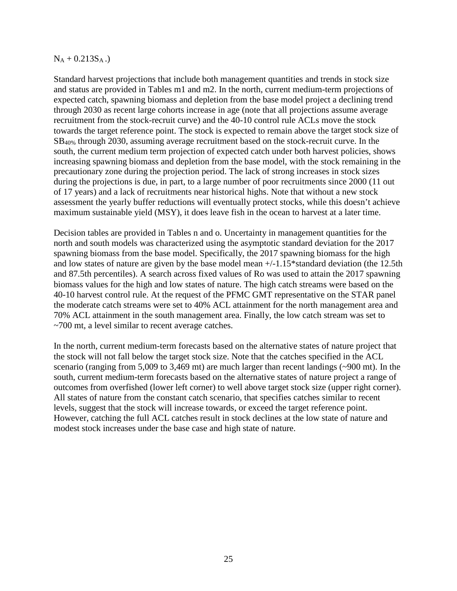#### $N_A + 0.213S_A$ .

Standard harvest projections that include both management quantities and trends in stock size and status are provided in Tables m1 and m2. In the north, current medium-term projections of expected catch, spawning biomass and depletion from the base model project a declining trend through 2030 as recent large cohorts increase in age (note that all projections assume average recruitment from the stock-recruit curve) and the 40-10 control rule ACLs move the stock towards the target reference point. The stock is expected to remain above the target stock size of SB40% through 2030, assuming average recruitment based on the stock-recruit curve. In the south, the current medium term projection of expected catch under both harvest policies, shows increasing spawning biomass and depletion from the base model, with the stock remaining in the precautionary zone during the projection period. The lack of strong increases in stock sizes during the projections is due, in part, to a large number of poor recruitments since 2000 (11 out of 17 years) and a lack of recruitments near historical highs. Note that without a new stock assessment the yearly buffer reductions will eventually protect stocks, while this doesn't achieve maximum sustainable yield (MSY), it does leave fish in the ocean to harvest at a later time.

Decision tables are provided in Tables n and o. Uncertainty in management quantities for the north and south models was characterized using the asymptotic standard deviation for the 2017 spawning biomass from the base model. Specifically, the 2017 spawning biomass for the high and low states of nature are given by the base model mean +/-1.15\*standard deviation (the 12.5th and 87.5th percentiles). A search across fixed values of Ro was used to attain the 2017 spawning biomass values for the high and low states of nature. The high catch streams were based on the 40-10 harvest control rule. At the request of the PFMC GMT representative on the STAR panel the moderate catch streams were set to 40% ACL attainment for the north management area and 70% ACL attainment in the south management area. Finally, the low catch stream was set to ~700 mt, a level similar to recent average catches.

In the north, current medium-term forecasts based on the alternative states of nature project that the stock will not fall below the target stock size. Note that the catches specified in the ACL scenario (ranging from 5,009 to 3,469 mt) are much larger than recent landings (~900 mt). In the south, current medium-term forecasts based on the alternative states of nature project a range of outcomes from overfished (lower left corner) to well above target stock size (upper right corner). All states of nature from the constant catch scenario, that specifies catches similar to recent levels, suggest that the stock will increase towards, or exceed the target reference point. However, catching the full ACL catches result in stock declines at the low state of nature and modest stock increases under the base case and high state of nature.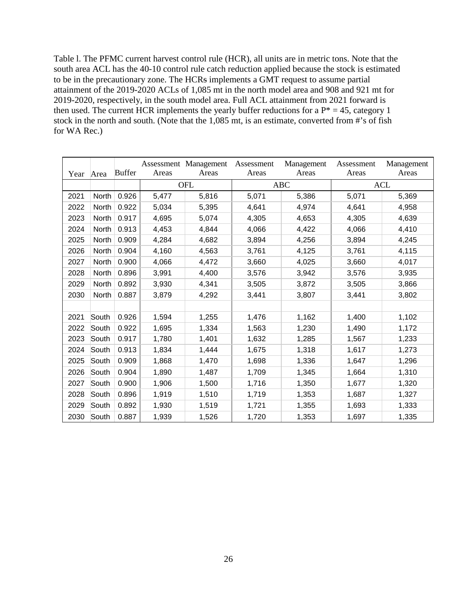Table l. The PFMC current harvest control rule (HCR), all units are in metric tons. Note that the south area ACL has the 40-10 control rule catch reduction applied because the stock is estimated to be in the precautionary zone. The HCRs implements a GMT request to assume partial attainment of the 2019-2020 ACLs of 1,085 mt in the north model area and 908 and 921 mt for 2019-2020, respectively, in the south model area. Full ACL attainment from 2021 forward is then used. The current HCR implements the yearly buffer reductions for a  $P^* = 45$ , category 1 stock in the north and south. (Note that the 1,085 mt, is an estimate, converted from #'s of fish for WA Rec.)

|      |       |               |       | Assessment Management | Assessment | Management | Assessment | Management |
|------|-------|---------------|-------|-----------------------|------------|------------|------------|------------|
| Year | Area  | <b>Buffer</b> | Areas | Areas                 | Areas      | Areas      | Areas      | Areas      |
|      |       |               |       | <b>OFL</b>            |            | ABC        |            | <b>ACL</b> |
| 2021 | North | 0.926         | 5,477 | 5,816                 | 5,071      | 5,386      | 5,071      | 5,369      |
| 2022 | North | 0.922         | 5,034 | 5,395                 | 4,641      | 4,974      | 4,641      | 4,958      |
| 2023 | North | 0.917         | 4,695 | 5,074                 | 4,305      | 4,653      | 4,305      | 4,639      |
| 2024 | North | 0.913         | 4,453 | 4,844                 | 4,066      | 4,422      | 4,066      | 4,410      |
| 2025 | North | 0.909         | 4,284 | 4,682                 | 3,894      | 4,256      | 3,894      | 4,245      |
| 2026 | North | 0.904         | 4,160 | 4,563                 | 3,761      | 4,125      | 3,761      | 4,115      |
| 2027 | North | 0.900         | 4,066 | 4,472                 | 3,660      | 4,025      | 3,660      | 4,017      |
| 2028 | North | 0.896         | 3,991 | 4,400                 | 3,576      | 3,942      | 3,576      | 3,935      |
| 2029 | North | 0.892         | 3,930 | 4,341                 | 3,505      | 3,872      | 3,505      | 3,866      |
| 2030 | North | 0.887         | 3,879 | 4,292                 | 3,441      | 3,807      | 3,441      | 3,802      |
|      |       |               |       |                       |            |            |            |            |
| 2021 | South | 0.926         | 1,594 | 1,255                 | 1,476      | 1,162      | 1,400      | 1,102      |
| 2022 | South | 0.922         | 1,695 | 1,334                 | 1,563      | 1,230      | 1,490      | 1,172      |
| 2023 | South | 0.917         | 1,780 | 1,401                 | 1,632      | 1,285      | 1,567      | 1,233      |
| 2024 | South | 0.913         | 1,834 | 1,444                 | 1,675      | 1,318      | 1,617      | 1,273      |
| 2025 | South | 0.909         | 1,868 | 1,470                 | 1,698      | 1,336      | 1,647      | 1,296      |
| 2026 | South | 0.904         | 1,890 | 1,487                 | 1,709      | 1,345      | 1,664      | 1,310      |
| 2027 | South | 0.900         | 1,906 | 1,500                 | 1,716      | 1,350      | 1,677      | 1,320      |
| 2028 | South | 0.896         | 1,919 | 1,510                 | 1,719      | 1,353      | 1,687      | 1,327      |
| 2029 | South | 0.892         | 1,930 | 1,519                 | 1,721      | 1,355      | 1,693      | 1,333      |
| 2030 | South | 0.887         | 1,939 | 1,526                 | 1,720      | 1,353      | 1,697      | 1,335      |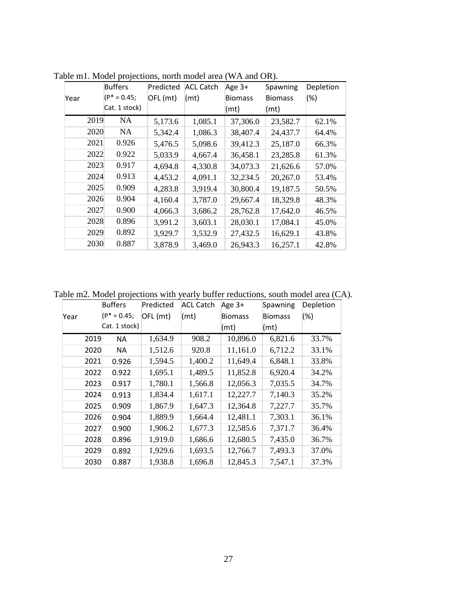|      |      | <b>Buffers</b> | Predicted | <b>ACL Catch</b> | Age 3+         | Spawning       | Depletion |
|------|------|----------------|-----------|------------------|----------------|----------------|-----------|
| Year |      | (P* = 0.45;    | OFL (mt)  | (mt)             | <b>Biomass</b> | <b>Biomass</b> | $(\%)$    |
|      |      | Cat. 1 stock)  |           |                  | (mt)           | (mt)           |           |
|      | 2019 | NA.            | 5,173.6   | 1,085.1          | 37,306.0       | 23,582.7       | 62.1%     |
|      | 2020 | NA.            | 5,342.4   | 1,086.3          | 38,407.4       | 24,437.7       | 64.4%     |
|      | 2021 | 0.926          | 5,476.5   | 5,098.6          | 39,412.3       | 25,187.0       | 66.3%     |
|      | 2022 | 0.922          | 5,033.9   | 4,667.4          | 36,458.1       | 23,285.8       | 61.3%     |
|      | 2023 | 0.917          | 4,694.8   | 4,330.8          | 34,073.3       | 21,626.6       | 57.0%     |
|      | 2024 | 0.913          | 4,453.2   | 4,091.1          | 32,234.5       | 20,267.0       | 53.4%     |
|      | 2025 | 0.909          | 4,283.8   | 3,919.4          | 30,800.4       | 19,187.5       | 50.5%     |
|      | 2026 | 0.904          | 4,160.4   | 3,787.0          | 29,667.4       | 18,329.8       | 48.3%     |
|      | 2027 | 0.900          | 4,066.3   | 3,686.2          | 28,762.8       | 17,642.0       | 46.5%     |
|      | 2028 | 0.896          | 3,991.2   | 3,603.1          | 28,030.1       | 17,084.1       | 45.0%     |
|      | 2029 | 0.892          | 3,929.7   | 3,532.9          | 27,432.5       | 16,629.1       | 43.8%     |
|      | 2030 | 0.887          | 3,878.9   | 3,469.0          | 26,943.3       | 16,257.1       | 42.8%     |

Table m1. Model projections, north model area (WA and OR).

Table m2. Model projections with yearly buffer reductions, south model area (CA).

|      |      | <b>Buffers</b> | Predicted | <b>ACL Catch</b> | Age 3+         | Spawning       | Depletion |
|------|------|----------------|-----------|------------------|----------------|----------------|-----------|
| Year |      | $(P^* = 0.45;$ | OFL (mt)  | (mt)             | <b>Biomass</b> | <b>Biomass</b> | (%)       |
|      |      | Cat. 1 stock)  |           |                  | (mt)           | (mt)           |           |
|      | 2019 | NA.            | 1,634.9   | 908.2            | 10,896.0       | 6,821.6        | 33.7%     |
|      | 2020 | NA.            | 1,512.6   | 920.8            | 11,161.0       | 6,712.2        | 33.1%     |
|      | 2021 | 0.926          | 1,594.5   | 1,400.2          | 11,649.4       | 6,848.1        | 33.8%     |
|      | 2022 | 0.922          | 1,695.1   | 1,489.5          | 11,852.8       | 6,920.4        | 34.2%     |
|      | 2023 | 0.917          | 1,780.1   | 1,566.8          | 12,056.3       | 7,035.5        | 34.7%     |
|      | 2024 | 0.913          | 1,834.4   | 1,617.1          | 12,227.7       | 7,140.3        | 35.2%     |
|      | 2025 | 0.909          | 1,867.9   | 1,647.3          | 12,364.8       | 7,227.7        | 35.7%     |
|      | 2026 | 0.904          | 1,889.9   | 1,664.4          | 12,481.1       | 7,303.1        | 36.1%     |
|      | 2027 | 0.900          | 1,906.2   | 1,677.3          | 12,585.6       | 7,371.7        | 36.4%     |
|      | 2028 | 0.896          | 1,919.0   | 1,686.6          | 12,680.5       | 7,435.0        | 36.7%     |
|      | 2029 | 0.892          | 1,929.6   | 1,693.5          | 12,766.7       | 7,493.3        | 37.0%     |
|      | 2030 | 0.887          | 1,938.8   | 1,696.8          | 12,845.3       | 7,547.1        | 37.3%     |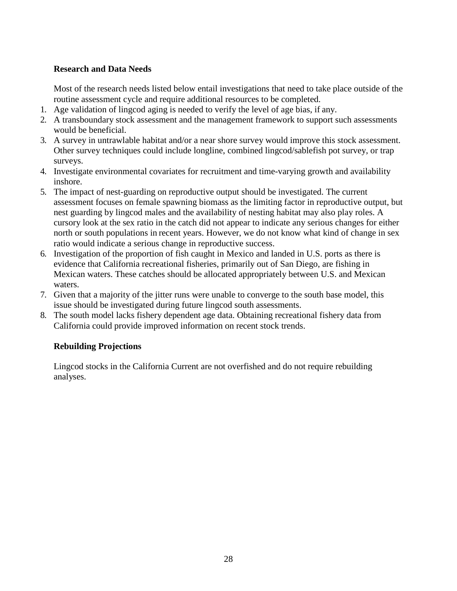# **Research and Data Needs**

Most of the research needs listed below entail investigations that need to take place outside of the routine assessment cycle and require additional resources to be completed.

- 1. Age validation of lingcod aging is needed to verify the level of age bias, if any.
- 2. A transboundary stock assessment and the management framework to support such assessments would be beneficial.
- 3. A survey in untrawlable habitat and/or a near shore survey would improve this stock assessment. Other survey techniques could include longline, combined lingcod/sablefish pot survey, or trap surveys.
- 4. Investigate environmental covariates for recruitment and time-varying growth and availability inshore.
- 5. The impact of nest-guarding on reproductive output should be investigated. The current assessment focuses on female spawning biomass as the limiting factor in reproductive output, but nest guarding by lingcod males and the availability of nesting habitat may also play roles. A cursory look at the sex ratio in the catch did not appear to indicate any serious changes for either north or south populations in recent years. However, we do not know what kind of change in sex ratio would indicate a serious change in reproductive success.
- 6. Investigation of the proportion of fish caught in Mexico and landed in U.S. ports as there is evidence that California recreational fisheries, primarily out of San Diego, are fishing in Mexican waters. These catches should be allocated appropriately between U.S. and Mexican waters.
- 7. Given that a majority of the jitter runs were unable to converge to the south base model, this issue should be investigated during future lingcod south assessments.
- 8. The south model lacks fishery dependent age data. Obtaining recreational fishery data from California could provide improved information on recent stock trends.

# **Rebuilding Projections**

Lingcod stocks in the California Current are not overfished and do not require rebuilding analyses.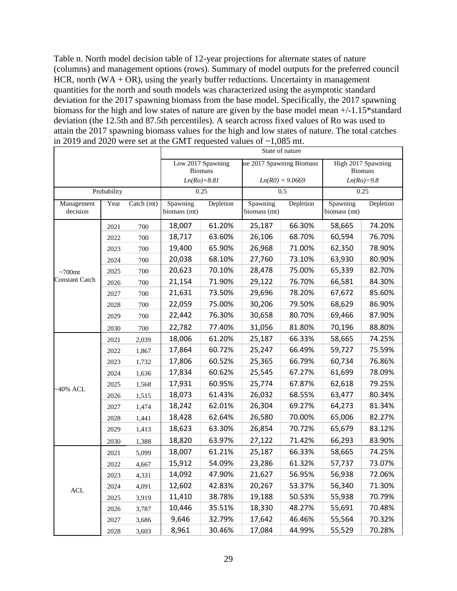Table n. North model decision table of 12-year projections for alternate states of nature (columns) and management options (rows). Summary of model outputs for the preferred council HCR, north (WA +  $OR$ ), using the yearly buffer reductions. Uncertainty in management quantities for the north and south models was characterized using the asymptotic standard deviation for the 2017 spawning biomass from the base model. Specifically, the 2017 spawning biomass for the high and low states of nature are given by the base model mean +/-1.15\*standard deviation (the 12.5th and 87.5th percentiles). A search across fixed values of Ro was used to attain the 2017 spawning biomass values for the high and low states of nature. The total catches in 2019 and 2020 were set at the GMT requested values of ~1,085 mt.

|                        |             |            |                                    |                |                           | State of nature   |                                                      |           |
|------------------------|-------------|------------|------------------------------------|----------------|---------------------------|-------------------|------------------------------------------------------|-----------|
|                        |             |            | Low 2017 Spawning<br>$Ln(Ro)=8.81$ | <b>Biomass</b> | use 2017 Spawning Biomass | $Ln(R0) = 9.0669$ | High 2017 Spawning<br><b>Biomass</b><br>$Ln(Ro)=9.8$ |           |
|                        | Probability |            | 0.25                               |                |                           | 0.5               |                                                      | 0.25      |
| Management<br>decision | Year        | Catch (mt) | Spawning<br>biomass (mt)           | Depletion      | Spawning<br>biomass (mt)  | Depletion         | Spawning<br>biomass (mt)                             | Depletion |
|                        | 2021        | 700        | 18,007                             | 61.20%         | 25,187                    | 66.30%            | 58,665                                               | 74.20%    |
|                        | 2022        | 700        | 18,717                             | 63.60%         | 26,106                    | 68.70%            | 60,594                                               | 76.70%    |
|                        | 2023        | 700        | 19,400                             | 65.90%         | 26,968                    | 71.00%            | 62,350                                               | 78.90%    |
|                        | 2024        | 700        | 20,038                             | 68.10%         | 27,760                    | 73.10%            | 63,930                                               | 80.90%    |
| $~100$ mt              | 2025        | 700        | 20,623                             | 70.10%         | 28,478                    | 75.00%            | 65,339                                               | 82.70%    |
| <b>Constant Catch</b>  | 2026        | 700        | 21,154                             | 71.90%         | 29,122                    | 76.70%            | 66,581                                               | 84.30%    |
|                        | 2027        | 700        | 21,631                             | 73.50%         | 29,696                    | 78.20%            | 67,672                                               | 85.60%    |
|                        | 2028        | 700        | 22,059                             | 75.00%         | 30,206                    | 79.50%            | 68,629                                               | 86.90%    |
|                        | 2029        | 700        | 22,442                             | 76.30%         | 30,658                    | 80.70%            | 69,466                                               | 87.90%    |
|                        | 2030        | 700        | 22,782                             | 77.40%         | 31,056                    | 81.80%            | 70,196                                               | 88.80%    |
|                        | 2021        | 2,039      | 18,006                             | 61.20%         | 25,187                    | 66.33%            | 58,665                                               | 74.25%    |
|                        | 2022        | 1,867      | 17,864                             | 60.72%         | 25,247                    | 66.49%            | 59,727                                               | 75.59%    |
|                        | 2023        | 1,732      | 17,806                             | 60.52%         | 25,365                    | 66.79%            | 60,734                                               | 76.86%    |
|                        | 2024        | 1,636      | 17,834                             | 60.62%         | 25,545                    | 67.27%            | 61,699                                               | 78.09%    |
|                        | 2025        | 1,568      | 17,931                             | 60.95%         | 25,774                    | 67.87%            | 62,618                                               | 79.25%    |
| $\sim$ 40% ACL         | 2026        | 1,515      | 18,073                             | 61.43%         | 26,032                    | 68.55%            | 63,477                                               | 80.34%    |
|                        | 2027        | 1,474      | 18,242                             | 62.01%         | 26,304                    | 69.27%            | 64,273                                               | 81.34%    |
|                        | 2028        | 1,441      | 18,428                             | 62.64%         | 26,580                    | 70.00%            | 65,006                                               | 82.27%    |
|                        | 2029        | 1,413      | 18,623                             | 63.30%         | 26,854                    | 70.72%            | 65,679                                               | 83.12%    |
|                        | 2030        | 1,388      | 18,820                             | 63.97%         | 27,122                    | 71.42%            | 66,293                                               | 83.90%    |
|                        | 2021        | 5,099      | 18,007                             | 61.21%         | 25,187                    | 66.33%            | 58,665                                               | 74.25%    |
|                        | 2022        | 4,667      | 15,912                             | 54.09%         | 23,286                    | 61.32%            | 57,737                                               | 73.07%    |
|                        | 2023        | 4,331      | 14,092                             | 47.90%         | 21,627                    | 56.95%            | 56,938                                               | 72.06%    |
|                        | 2024        | 4,091      | 12,602                             | 42.83%         | 20,267                    | 53.37%            | 56,340                                               | 71.30%    |
| $\mbox{ACL}$           | 2025        | 3,919      | 11,410                             | 38.78%         | 19,188                    | 50.53%            | 55,938                                               | 70.79%    |
|                        | 2026        | 3,787      | 10,446                             | 35.51%         | 18,330                    | 48.27%            | 55,691                                               | 70.48%    |
|                        | 2027        | 3,686      | 9,646                              | 32.79%         | 17,642                    | 46.46%            | 55,564                                               | 70.32%    |
|                        | 2028        | 3,603      | 8,961                              | 30.46%         | 17,084                    | 44.99%            | 55,529                                               | 70.28%    |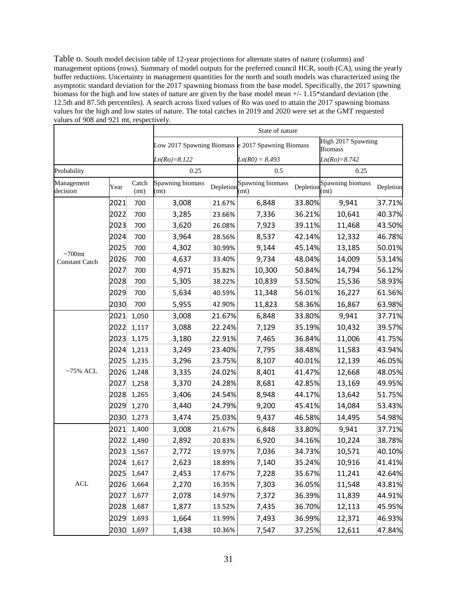Table o. South model decision table of 12-year projections for alternate states of nature (columns) and management options (rows). Summary of model outputs for the preferred council HCR, south (CA), using the yearly buffer reductions. Uncertainty in management quantities for the north and south models was characterized using the asymptotic standard deviation for the 2017 spawning biomass from the base model. Specifically, the 2017 spawning biomass for the high and low states of nature are given by the base model mean  $+/-1.15*$ standard deviation (the 12.5th and 87.5th percentiles). A search across fixed values of Ro was used to attain the 2017 spawning biomass values for the high and low states of nature. The total catches in 2019 and 2020 were set at the GMT requested values of 908 and 921 mt, respectively.

|                         |      |               |                                                   |        | State of nature                    |           |                                      |           |  |
|-------------------------|------|---------------|---------------------------------------------------|--------|------------------------------------|-----------|--------------------------------------|-----------|--|
|                         |      |               | Low 2017 Spawning Biomass e 2017 Spawning Biomass |        |                                    |           | High 2017 Spawning<br><b>Biomass</b> |           |  |
|                         |      |               | $Ln(Ro)=8.122$                                    |        | $Ln(R0) = 8.493$                   |           | $Ln(Ro)=8.742$                       |           |  |
| Probability             |      |               | 0.25                                              |        | 0.5                                |           | 0.25                                 |           |  |
| Management<br>decision  | Year | Catch<br>(mt) | Spawning biomass<br>(mt)                          |        | Depletion Spawning biomass<br>(mt) | Depletion | Spawning biomass<br>(mt)             | Depletion |  |
|                         | 2021 | 700           | 3,008                                             | 21.67% | 6,848                              | 33.80%    | 9,941                                | 37.71%    |  |
|                         | 2022 | 700           | 3,285                                             | 23.66% | 7,336                              | 36.21%    | 10,641                               | 40.37%    |  |
|                         | 2023 | 700           | 3,620                                             | 26.08% | 7,923                              | 39.11%    | 11,468                               | 43.50%    |  |
|                         | 2024 | 700           | 3,964                                             | 28.56% | 8,537                              | 42.14%    | 12,332                               | 46.78%    |  |
| $\sim700$ mt            | 2025 | 700           | 4,302                                             | 30.99% | 9,144                              | 45.14%    | 13,185                               | 50.01%    |  |
| <b>Constant Catch</b>   | 2026 | 700           | 4,637                                             | 33.40% | 9,734                              | 48.04%    | 14,009                               | 53.14%    |  |
|                         | 2027 | 700           | 4,971                                             | 35.82% | 10,300                             | 50.84%    | 14,794                               | 56.12%    |  |
|                         | 2028 | 700           | 5,305                                             | 38.22% | 10,839                             | 53.50%    | 15,536                               | 58.93%    |  |
|                         | 2029 | 700           | 5,634                                             | 40.59% | 11,348                             | 56.01%    | 16,227                               | 61.56%    |  |
|                         | 2030 | 700           | 5,955                                             | 42.90% | 11,823                             | 58.36%    | 16,867                               | 63.98%    |  |
|                         | 2021 | 1,050         | 3,008                                             | 21.67% | 6,848                              | 33.80%    | 9,941                                | 37.71%    |  |
|                         | 2022 | 1,117         | 3,088                                             | 22.24% | 7,129                              | 35.19%    | 10,432                               | 39.57%    |  |
|                         | 2023 | 1,175         | 3,180                                             | 22.91% | 7,465                              | 36.84%    | 11,006                               | 41.75%    |  |
|                         | 2024 | 1,213         | 3,249                                             | 23.40% | 7,795                              | 38.48%    | 11,583                               | 43.94%    |  |
|                         | 2025 | 1,235         | 3,296                                             | 23.75% | 8,107                              | 40.01%    | 12,139                               | 46.05%    |  |
| $~275\%$ ACL            | 2026 | 1,248         | 3,335                                             | 24.02% | 8,401                              | 41.47%    | 12,668                               | 48.05%    |  |
|                         | 2027 | 1,258         | 3,370                                             | 24.28% | 8,681                              | 42.85%    | 13,169                               | 49.95%    |  |
|                         | 2028 | 1,265         | 3,406                                             | 24.54% | 8,948                              | 44.17%    | 13,642                               | 51.75%    |  |
|                         | 2029 | 1,270         | 3,440                                             | 24.79% | 9,200                              | 45.41%    | 14,084                               | 53.43%    |  |
|                         | 2030 | 1,273         | 3,474                                             | 25.03% | 9,437                              | 46.58%    | 14,495                               | 54.98%    |  |
|                         | 2021 | 1,400         | 3,008                                             | 21.67% | 6,848                              | 33.80%    | 9,941                                | 37.71%    |  |
|                         | 2022 | 1,490         | 2,892                                             | 20.83% | 6,920                              | 34.16%    | 10,224                               | 38.78%    |  |
|                         | 2023 | 1,567         | 2,772                                             | 19.97% | 7,036                              | 34.73%    | 10,571                               | 40.10%    |  |
|                         |      | 2024 1,617    | 2,623                                             | 18.89% | 7,140                              | 35.24%    | 10,916                               | 41.41%    |  |
|                         | 2025 | 1,647         | 2,453                                             | 17.67% | 7,228                              | 35.67%    | 11,241                               | 42.64%    |  |
| $\mathop{\mathsf{ACL}}$ | 2026 | 1,664         | 2,270                                             | 16.35% | 7,303                              | 36.05%    | 11,548                               | 43.81%    |  |
|                         | 2027 | 1,677         | 2,078                                             | 14.97% | 7,372                              | 36.39%    | 11,839                               | 44.91%    |  |
|                         | 2028 | 1,687         | 1,877                                             | 13.52% | 7,435                              | 36.70%    | 12,113                               | 45.95%    |  |
|                         | 2029 | 1,693         | 1,664                                             | 11.99% | 7,493                              | 36.99%    | 12,371                               | 46.93%    |  |
|                         | 2030 | 1,697         | 1,438                                             | 10.36% | 7,547                              | 37.25%    | 12,611                               | 47.84%    |  |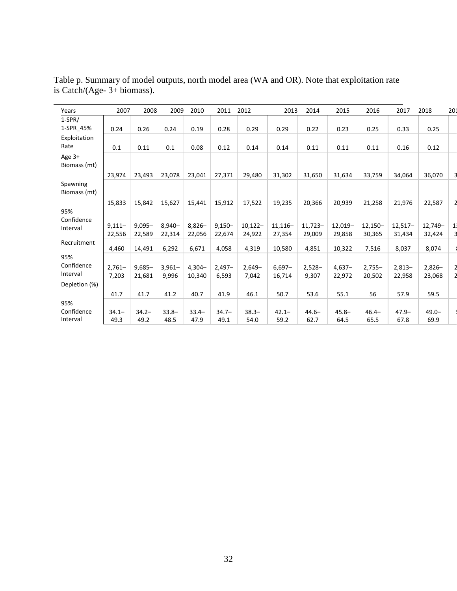| Years                         | 2007                | 2008                | 2009               | 2010                | 2011                | 2012                | 2013                | 2014                 | 2015                | 2016                | 2017                 | 2018               | 201 |
|-------------------------------|---------------------|---------------------|--------------------|---------------------|---------------------|---------------------|---------------------|----------------------|---------------------|---------------------|----------------------|--------------------|-----|
| $1-SPR/$                      |                     |                     |                    |                     |                     |                     |                     |                      |                     |                     |                      |                    |     |
| 1-SPR_45%                     | 0.24                | 0.26                | 0.24               | 0.19                | 0.28                | 0.29                | 0.29                | 0.22                 | 0.23                | 0.25                | 0.33                 | 0.25               |     |
| Exploitation<br>Rate          | 0.1                 | 0.11                | 0.1                | 0.08                | 0.12                | 0.14                | 0.14                | 0.11                 | 0.11                | 0.11                | 0.16                 | 0.12               |     |
| Age 3+<br>Biomass (mt)        |                     |                     |                    |                     |                     |                     |                     |                      |                     |                     |                      |                    |     |
|                               | 23,974              | 23,493              | 23,078             | 23,041              | 27,371              | 29,480              | 31,302              | 31,650               | 31,634              | 33,759              | 34,064               | 36,070             |     |
| Spawning<br>Biomass (mt)      |                     |                     |                    |                     |                     |                     |                     |                      |                     |                     |                      |                    |     |
|                               | 15,833              | 15,842              | 15.627             | 15.441              | 15,912              | 17.522              | 19,235              | 20,366               | 20,939              | 21,258              | 21,976               | 22,587             |     |
| 95%                           |                     |                     |                    |                     |                     |                     |                     |                      |                     |                     |                      |                    |     |
| Confidence<br>Interval        | $9,111 -$<br>22,556 | $9,095 -$<br>22,589 | $8,940-$<br>22,314 | $8,826 -$<br>22,056 | $9,150 -$<br>22,674 | $10,122-$<br>24,922 | $11,116-$<br>27,354 | $11.723 -$<br>29,009 | $12,019-$<br>29,858 | $12,150-$<br>30,365 | $12.517 -$<br>31,434 | 12,749-<br>32,424  | 1   |
| Recruitment                   | 4,460               | 14,491              | 6,292              | 6,671               | 4,058               | 4,319               | 10,580              | 4,851                | 10,322              | 7,516               | 8,037                | 8,074              |     |
| 95%<br>Confidence<br>Interval | $2,761 -$<br>7,203  | $9,685 -$<br>21,681 | $3,961 -$<br>9,996 | $4,304-$<br>10,340  | $2,497-$<br>6,593   | $2,649-$<br>7,042   | $6,697-$<br>16,714  | $2,528-$<br>9,307    | $4,637-$<br>22,972  | $2,755-$<br>20,502  | $2,813-$<br>22,958   | $2,826-$<br>23,068 |     |
| Depletion (%)                 |                     |                     |                    |                     |                     |                     |                     |                      |                     |                     |                      |                    |     |
|                               | 41.7                | 41.7                | 41.2               | 40.7                | 41.9                | 46.1                | 50.7                | 53.6                 | 55.1                | 56                  | 57.9                 | 59.5               |     |
| 95%<br>Confidence<br>Interval | $34.1 -$<br>49.3    | $34.2 -$<br>49.2    | $33.8 -$<br>48.5   | $33.4 -$<br>47.9    | $34.7 -$<br>49.1    | $38.3 -$<br>54.0    | $42.1 -$<br>59.2    | $44.6 -$<br>62.7     | $45.8 -$<br>64.5    | $46.4 -$<br>65.5    | $47.9 -$<br>67.8     | $49.0 -$<br>69.9   |     |

Table p. Summary of model outputs, north model area (WA and OR). Note that exploitation rate is Catch/(Age- 3+ biomass).